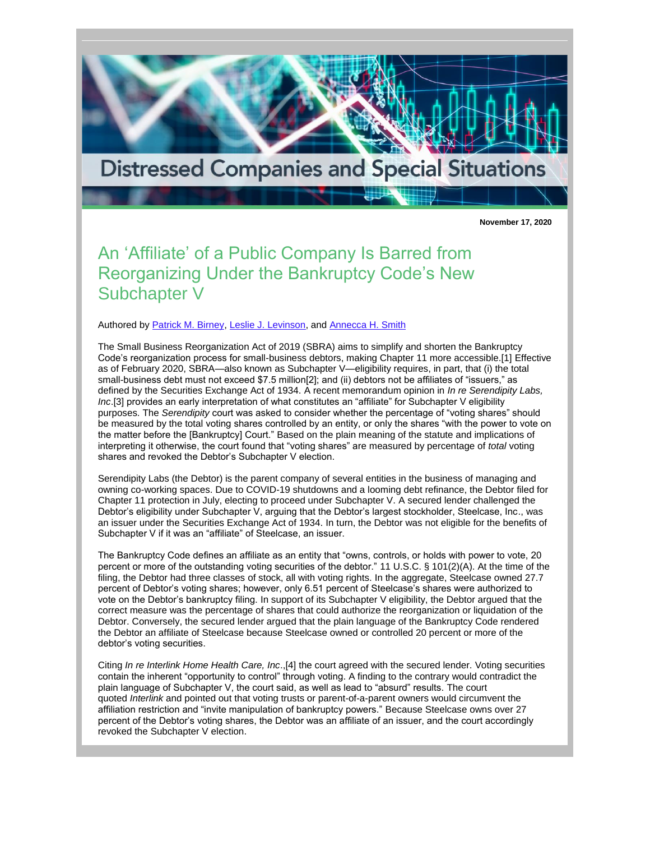

**November 17, 2020**

## An 'Affiliate' of a Public Company Is Barred from Reorganizing Under the Bankruptcy Code's New Subchapter V

Authored by [Patrick M. Birney,](http://www.rc.com/people/PatrickMBirney.cfm) [Leslie J. Levinson,](http://www.rc.com/people/LeslieJLevinson.cfm) and [Annecca H. Smith](http://www.rc.com/people/AnneccaHSmith.cfm)

The Small Business Reorganization Act of 2019 (SBRA) aims to simplify and shorten the Bankruptcy Code's reorganization process for small-business debtors, making Chapter 11 more accessible.[1] Effective as of February 2020, SBRA—also known as Subchapter V—eligibility requires, in part, that (i) the total small-business debt must not exceed \$7.5 million[2]; and (ii) debtors not be affiliates of "issuers," as defined by the Securities Exchange Act of 1934. A recent memorandum opinion in *In re Serendipity Labs, Inc*.[3] provides an early interpretation of what constitutes an "affiliate" for Subchapter V eligibility purposes. The *Serendipity* court was asked to consider whether the percentage of "voting shares" should be measured by the total voting shares controlled by an entity, or only the shares "with the power to vote on the matter before the [Bankruptcy] Court." Based on the plain meaning of the statute and implications of interpreting it otherwise, the court found that "voting shares" are measured by percentage of *total* voting shares and revoked the Debtor's Subchapter V election.

Serendipity Labs (the Debtor) is the parent company of several entities in the business of managing and owning co-working spaces. Due to COVID-19 shutdowns and a looming debt refinance, the Debtor filed for Chapter 11 protection in July, electing to proceed under Subchapter V. A secured lender challenged the Debtor's eligibility under Subchapter V, arguing that the Debtor's largest stockholder, Steelcase, Inc., was an issuer under the Securities Exchange Act of 1934. In turn, the Debtor was not eligible for the benefits of Subchapter V if it was an "affiliate" of Steelcase, an issuer.

The Bankruptcy Code defines an affiliate as an entity that "owns, controls, or holds with power to vote, 20 percent or more of the outstanding voting securities of the debtor." 11 U.S.C. § 101(2)(A). At the time of the filing, the Debtor had three classes of stock, all with voting rights. In the aggregate, Steelcase owned 27.7 percent of Debtor's voting shares; however, only 6.51 percent of Steelcase's shares were authorized to vote on the Debtor's bankruptcy filing. In support of its Subchapter V eligibility, the Debtor argued that the correct measure was the percentage of shares that could authorize the reorganization or liquidation of the Debtor. Conversely, the secured lender argued that the plain language of the Bankruptcy Code rendered the Debtor an affiliate of Steelcase because Steelcase owned or controlled 20 percent or more of the debtor's voting securities.

Citing *In re Interlink Home Health Care, Inc*.,[4] the court agreed with the secured lender. Voting securities contain the inherent "opportunity to control" through voting. A finding to the contrary would contradict the plain language of Subchapter V, the court said, as well as lead to "absurd" results. The court quoted *Interlink* and pointed out that voting trusts or parent-of-a-parent owners would circumvent the affiliation restriction and "invite manipulation of bankruptcy powers." Because Steelcase owns over 27 percent of the Debtor's voting shares, the Debtor was an affiliate of an issuer, and the court accordingly revoked the Subchapter V election.